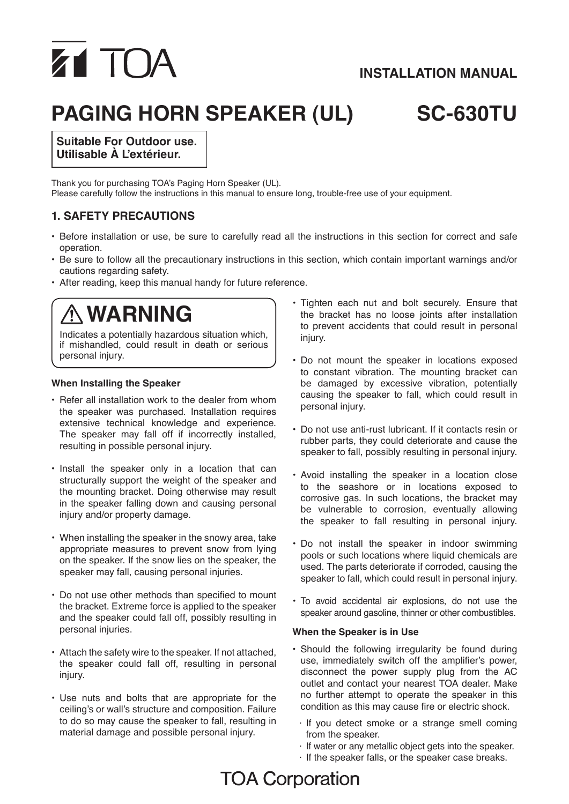# **Z1 TOA**

# **INSTALLATION MANUAL**

# **paging horn speaker (UL) sc-630Tu**

**Suitable For Outdoor use. Utilisable À L'extérieur.**

Thank you for purchasing TOA's Paging Horn Speaker (UL). Please carefully follow the instructions in this manual to ensure long, trouble-free use of your equipment.

### **1. SAFETY PRECAUTIONS**

- • Before installation or use, be sure to carefully read all the instructions in this section for correct and safe operation.
- • Be sure to follow all the precautionary instructions in this section, which contain important warnings and/or cautions regarding safety.
- After reading, keep this manual handy for future reference.

# **WARNING**

Indicates a potentially hazardous situation which, if mishandled, could result in death or serious personal injury.

#### **When Installing the Speaker**

- Refer all installation work to the dealer from whom the speaker was purchased. Installation requires extensive technical knowledge and experience. The speaker may fall off if incorrectly installed, resulting in possible personal injury.
- Install the speaker only in a location that can structurally support the weight of the speaker and the mounting bracket. Doing otherwise may result in the speaker falling down and causing personal injury and/or property damage.
- When installing the speaker in the snowy area, take appropriate measures to prevent snow from lying on the speaker. If the snow lies on the speaker, the speaker may fall, causing personal injuries.
- Do not use other methods than specified to mount the bracket. Extreme force is applied to the speaker and the speaker could fall off, possibly resulting in personal injuries.
- • Attach the safety wire to the speaker. If not attached, the speaker could fall off, resulting in personal injury.
- Use nuts and bolts that are appropriate for the ceiling's or wall's structure and composition. Failure to do so may cause the speaker to fall, resulting in material damage and possible personal injury.
- Tighten each nut and bolt securely. Ensure that the bracket has no loose joints after installation to prevent accidents that could result in personal injury.
- • Do not mount the speaker in locations exposed to constant vibration. The mounting bracket can be damaged by excessive vibration, potentially causing the speaker to fall, which could result in personal injury.
- • Do not use anti-rust lubricant. If it contacts resin or rubber parts, they could deteriorate and cause the speaker to fall, possibly resulting in personal injury.
- Avoid installing the speaker in a location close to the seashore or in locations exposed to corrosive gas. In such locations, the bracket may be vulnerable to corrosion, eventually allowing the speaker to fall resulting in personal injury.
- Do not install the speaker in indoor swimming pools or such locations where liquid chemicals are used. The parts deteriorate if corroded, causing the speaker to fall, which could result in personal injury.
- • To avoid accidental air explosions, do not use the speaker around gasoline, thinner or other combustibles.

#### **When the Speaker is in Use**

- • Should the following irregularity be found during use, immediately switch off the amplifier's power, disconnect the power supply plug from the AC outlet and contact your nearest TOA dealer. Make no further attempt to operate the speaker in this condition as this may cause fire or electric shock.
	- $\cdot$  If you detect smoke or a strange smell coming from the speaker.
	- · If water or any metallic object gets into the speaker.
	- · If the speaker falls, or the speaker case breaks.

# **TOA Corporation**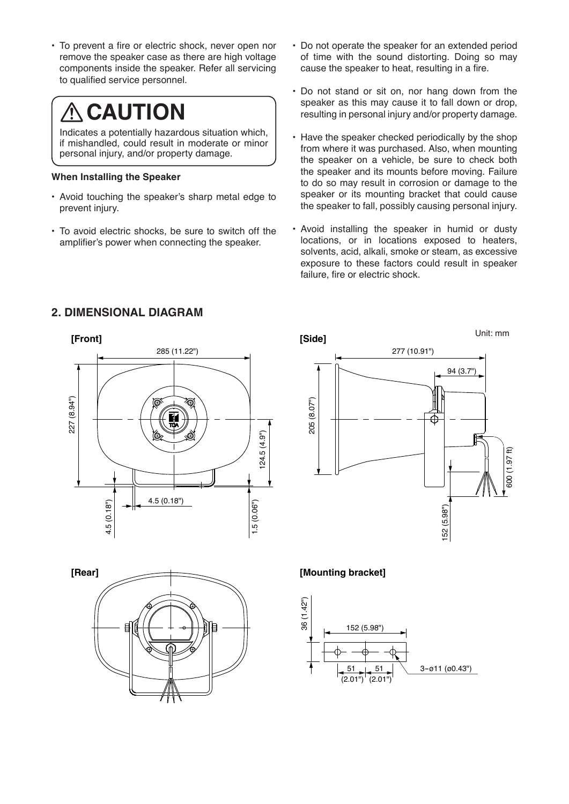• To prevent a fire or electric shock, never open nor remove the speaker case as there are high voltage components inside the speaker. Refer all servicing to qualified service personnel.

# **CAUTION**

Indicates a potentially hazardous situation which, if mishandled, could result in moderate or minor personal injury, and/or property damage.

#### **When Installing the Speaker**

- Avoid touching the speaker's sharp metal edge to prevent injury.
- To avoid electric shocks, be sure to switch off the amplifier's power when connecting the speaker.
- Do not operate the speaker for an extended period of time with the sound distorting. Doing so may cause the speaker to heat, resulting in a fire.
- Do not stand or sit on, nor hang down from the speaker as this may cause it to fall down or drop, resulting in personal injury and/or property damage.
- Have the speaker checked periodically by the shop from where it was purchased. Also, when mounting the speaker on a vehicle, be sure to check both the speaker and its mounts before moving. Failure to do so may result in corrosion or damage to the speaker or its mounting bracket that could cause the speaker to fall, possibly causing personal injury.
- Avoid installing the speaker in humid or dusty locations, or in locations exposed to heaters, solvents, acid, alkali, smoke or steam, as excessive exposure to these factors could result in speaker failure, fire or electric shock.









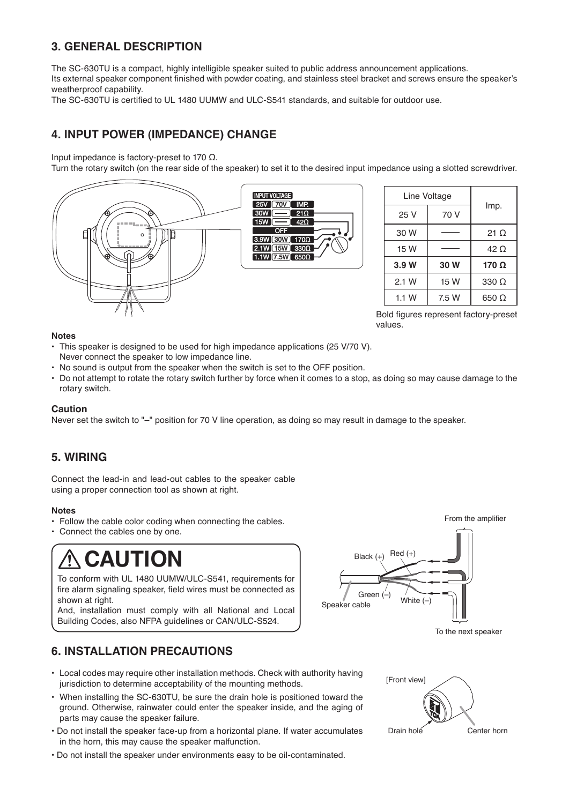### **3. GENERAL DESCRIPTION**

The SC-630TU is a compact, highly intelligible speaker suited to public address announcement applications.

Its external speaker component finished with powder coating, and stainless steel bracket and screws ensure the speaker's weatherproof capability.

The SC-630TU is certified to UL 1480 UUMW and ULC-S541 standards, and suitable for outdoor use.

## **4. INPUT POWER (IMPEDANCE) CHANGE**

Input impedance is factory-preset to 170 Ω.

Turn the rotary switch (on the rear side of the speaker) to set it to the desired input impedance using a slotted screwdriver.



| Line Voltage |       |              |  |
|--------------|-------|--------------|--|
| 25 V         | 70 V  | Imp.         |  |
| 30 W         |       | 21 $\Omega$  |  |
| 15 W         |       | 42 O         |  |
| 3.9W         | 30 W  | 170 $\Omega$ |  |
| 2.1 W        | 15 W  | $330 \Omega$ |  |
| 1.1 W        | 7.5 W | $650 \Omega$ |  |

Bold figures represent factory-preset values.

#### **Notes**

- This speaker is designed to be used for high impedance applications (25 V/70 V). Never connect the speaker to low impedance line.
- • No sound is output from the speaker when the switch is set to the OFF position.
- • Do not attempt to rotate the rotary switch further by force when it comes to a stop, as doing so may cause damage to the rotary switch.

#### **Caution**

Never set the switch to "–" position for 70 V line operation, as doing so may result in damage to the speaker.

### **5. wiring**

Connect the lead-in and lead-out cables to the speaker cable using a proper connection tool as shown at right.

#### **Notes**

- Follow the cable color coding when connecting the cables.
- Connect the cables one by one.

# **CAUTION**

To conform with UL 1480 UUMW/ULC-S541, requirements for fire alarm signaling speaker, field wires must be connected as shown at right.

And, installation must comply with all National and Local Building Codes, also NFPA guidelines or CAN/ULC-S524.

# **6. INSTALLATION precautions**

- Local codes may require other installation methods. Check with authority having jurisdiction to determine acceptability of the mounting methods.
- • When installing the SC-630TU, be sure the drain hole is positioned toward the ground. Otherwise, rainwater could enter the speaker inside, and the aging of parts may cause the speaker failure.
- Do not install the speaker face-up from a horizontal plane. If water accumulates in the horn, this may cause the speaker malfunction.
- Do not install the speaker under environments easy to be oil-contaminated.